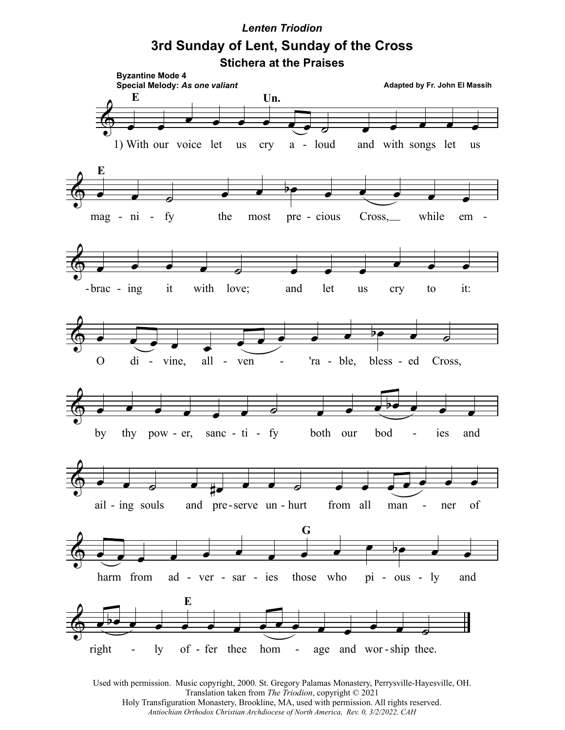## *Lenten Triodion* **3rd Sunday of Lent, Sunday of the Cross Stichera at the Praises**



Used with permission. Music copyright, 2000. St. Gregory Palamas Monastery, Perrysville-Hayesville, OH. Translation taken from *The Triodion*, copyright © 2021 Holy Transfiguration Monastery, Brookline, MA, used with permission. All rights reserved. *Antiochian Orthodox Christian Archdiocese of North America, Rev. 0, 3/2/2022, CAH*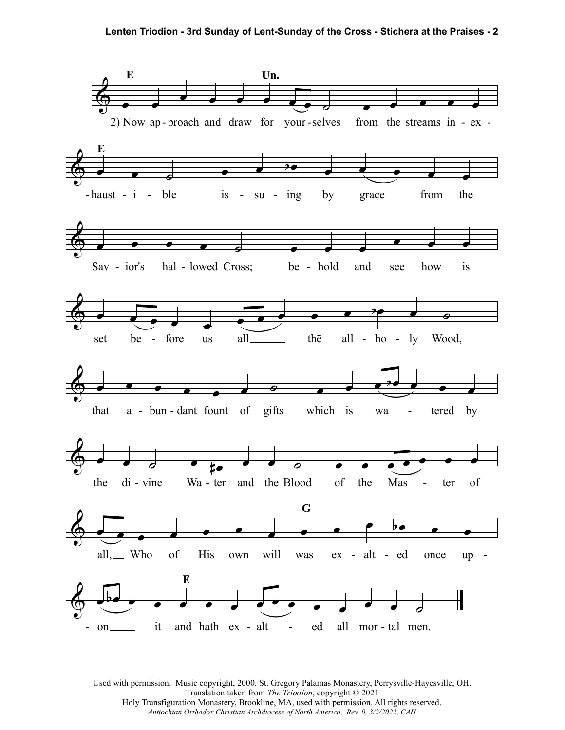

Used with permission. Music copyright, 2000. St. Gregory Palamas Monastery, Perrysville-Hayesville, OH. Translation taken from *The Triodion*, copyright © 2021 Holy Transfiguration Monastery, Brookline, MA, used with permission. All rights reserved. *Antiochian Orthodox Christian Archdiocese of North America, Rev. 0, 3/2/2022, CAH*